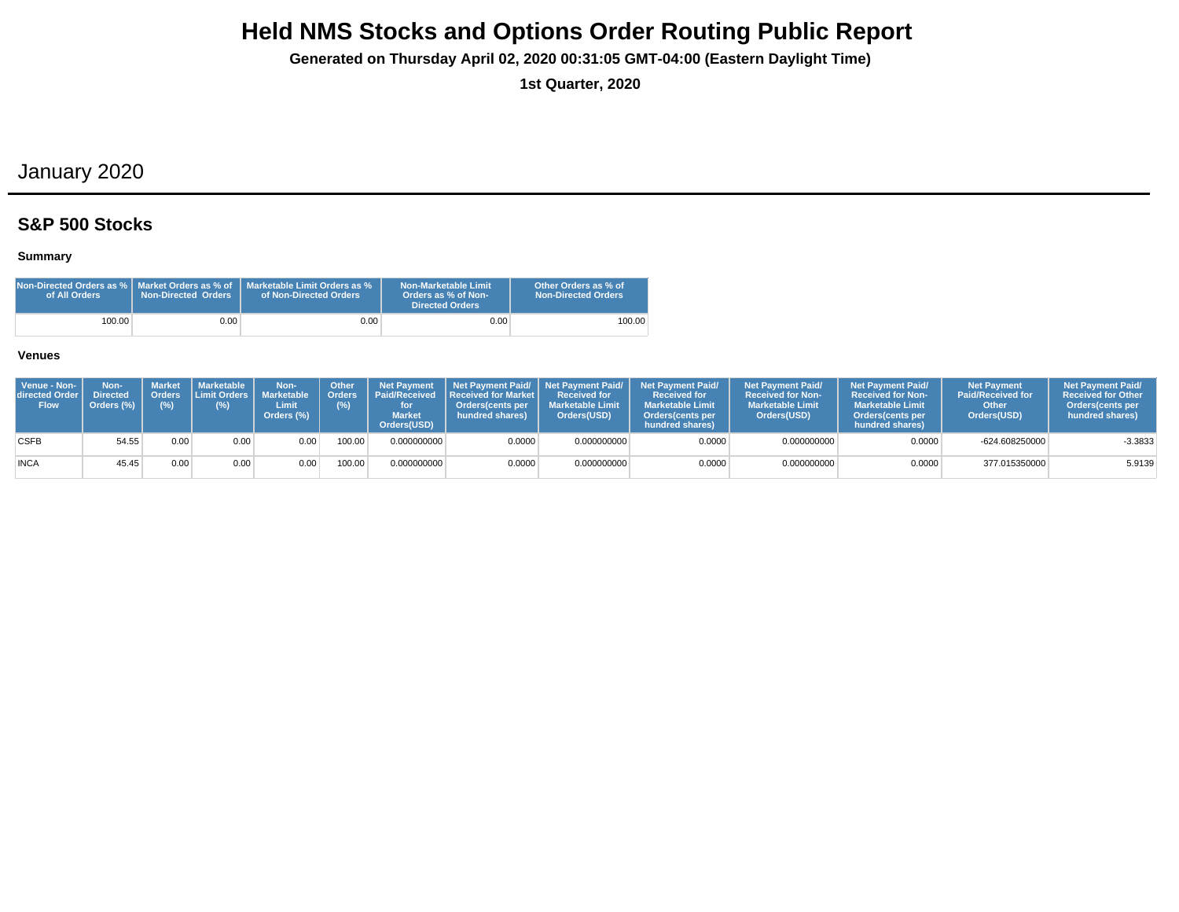**Generated on Thursday April 02, 2020 00:31:05 GMT-04:00 (Eastern Daylight Time)**

**1st Quarter, 2020**

## January 2020

### **S&P 500 Stocks**

### **Summary**

| Non-Directed Orders as %   Market Orders as % of<br>of All Orders | <b>Non-Directed Orders</b> | Marketable Limit Orders as %<br>of Non-Directed Orders | <b>Non-Marketable Limit</b><br>Orders as % of Non-<br><b>Directed Orders</b> | Other Orders as % of<br>Non-Directed Orders |
|-------------------------------------------------------------------|----------------------------|--------------------------------------------------------|------------------------------------------------------------------------------|---------------------------------------------|
| 100.00                                                            | 0.00                       | $0.00\,$                                               | 0.00                                                                         | 100.00                                      |

| Venue - Non-<br><b>directed Order I</b><br><b>Flow</b> | Non-<br><b>Directed</b><br>Orders (%) | Market<br>(%) | Marketable  <br>$(\%)$ | Non-<br>Orders Limit Orders Marketable   Orders<br>Limit<br>Orders (%) | <b>Other</b><br>(%) | <b>Market</b><br>Orders(USD) | Net Payment   Net Payment Paid/   Net Payment Paid/  <br><b>Paid/Received Received for Market I</b><br><b>Orders</b> (cents per<br>hundred shares) | <b>Received for</b><br><b>Marketable Limit</b><br>Orders(USD) | <b>Net Payment Paid/</b><br><b>Received for</b><br><b>Marketable Limit</b><br><b>Orders</b> (cents per<br>hundred shares) | <b>Net Payment Paid/</b><br><b>Received for Non-</b><br><b>Marketable Limit</b><br>Orders(USD) | <b>Net Payment Paid/</b><br><b>Received for Non-</b><br><b>Marketable Limit</b><br><b>Orders</b> (cents per<br>hundred shares) | <b>Net Payment</b><br><b>Paid/Received for</b><br>Other<br>Orders(USD) | <b>Net Payment Paid/</b><br><b>Received for Other</b><br>Orders(cents per<br>hundred shares) |
|--------------------------------------------------------|---------------------------------------|---------------|------------------------|------------------------------------------------------------------------|---------------------|------------------------------|----------------------------------------------------------------------------------------------------------------------------------------------------|---------------------------------------------------------------|---------------------------------------------------------------------------------------------------------------------------|------------------------------------------------------------------------------------------------|--------------------------------------------------------------------------------------------------------------------------------|------------------------------------------------------------------------|----------------------------------------------------------------------------------------------|
| <b>CSFB</b>                                            | 54.55                                 | 0.00          | 0.00                   | 0.00                                                                   | 100.00              | 0.000000000                  | 0.0000                                                                                                                                             | 0.000000000                                                   | 0.0000                                                                                                                    | 0.000000000                                                                                    | 0.0000                                                                                                                         | -624.608250000                                                         | $-3.3833$                                                                                    |
| <b>INCA</b>                                            | 45.45                                 | 0.00          | 0.00                   | 0.00                                                                   | 100.00              | 0.000000000                  | 0.0000                                                                                                                                             | 0.000000000                                                   | 0.0000                                                                                                                    | 0.000000000                                                                                    | 0.0000                                                                                                                         | 377.015350000                                                          | 5.9139                                                                                       |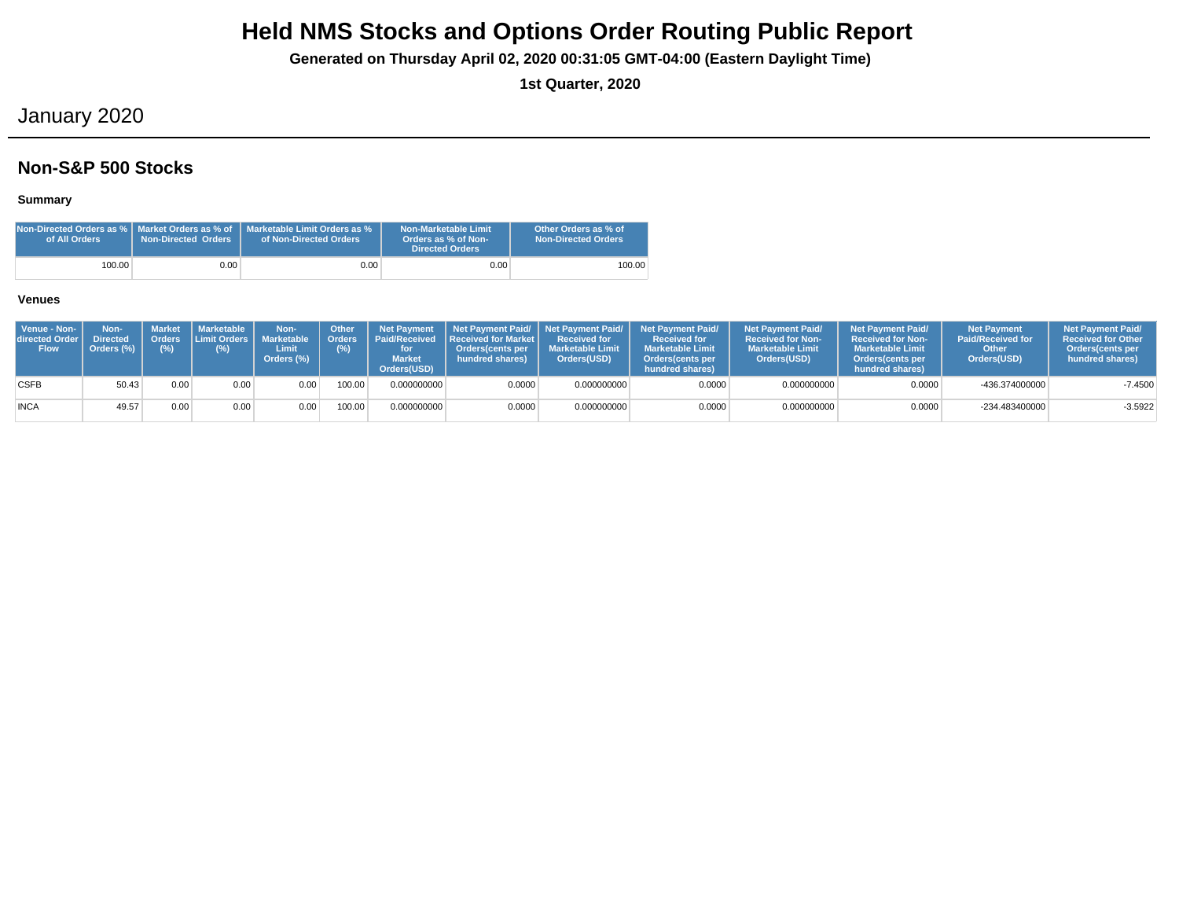**Generated on Thursday April 02, 2020 00:31:05 GMT-04:00 (Eastern Daylight Time)**

**1st Quarter, 2020**

## January 2020

### **Non-S&P 500 Stocks**

### **Summary**

| of All Orders | <b>Non-Directed Orders</b> | $\,$ Non-Directed Orders as % $\,$ Market Orders as % of $\,$ Marketable Limit Orders as % $\,$<br>of Non-Directed Orders | Non-Marketable Limit<br>Orders as % of Non-<br>Directed Orders | Other Orders as % of<br><b>Non-Directed Orders</b> |
|---------------|----------------------------|---------------------------------------------------------------------------------------------------------------------------|----------------------------------------------------------------|----------------------------------------------------|
| 100.00        | 0.00                       | 0.00 <sub>1</sub>                                                                                                         | 0.00                                                           | 100.00                                             |

| Venue - Non-<br>directed Order I<br><b>Flow</b> | Non-<br><b>Directed</b><br>Orders (%) | Orders<br>$(\%)$ | Market   Marketable<br><b>ILimit Orders I</b><br>(%) | Non-<br><b>Marketable</b><br>Limit<br>Orders (%) | <b>Other</b><br>Orders <sup>'</sup><br>(%) | <b>Net Payment</b><br><b>Market</b><br>Orders(USD) | Paid/Received Received for Market I<br><b>Orders</b> (cents per<br>hundred shares) | <b>Received for</b><br><b>Marketable Limit</b><br>Orders(USD) | Net Payment Paid/ Net Payment Paid/ Net Payment Paid/<br><b>Received for</b><br><b>Marketable Limit</b><br>Orders (cents per<br>hundred shares) | <b>Net Payment Paid/</b><br><b>Received for Non-</b><br><b>Marketable Limit</b><br>Orders(USD) | <b>Net Payment Paid/</b><br><b>Received for Non-</b><br><b>Marketable Limit</b><br><b>Orders</b> (cents per<br>hundred shares) | <b>Net Payment</b><br><b>Paid/Received for</b><br>Other<br>Orders(USD) | <b>Net Payment Paid/</b><br><b>Received for Other</b><br>Orders (cents per<br>hundred shares) |
|-------------------------------------------------|---------------------------------------|------------------|------------------------------------------------------|--------------------------------------------------|--------------------------------------------|----------------------------------------------------|------------------------------------------------------------------------------------|---------------------------------------------------------------|-------------------------------------------------------------------------------------------------------------------------------------------------|------------------------------------------------------------------------------------------------|--------------------------------------------------------------------------------------------------------------------------------|------------------------------------------------------------------------|-----------------------------------------------------------------------------------------------|
| <b>CSFB</b>                                     | 50.43                                 | 0.00             | 0.00                                                 | 0.00                                             | 100.00                                     | 0.000000000                                        | 0.0000                                                                             | 0.000000000                                                   | 0.0000                                                                                                                                          | 0.000000000                                                                                    | 0.0000                                                                                                                         | -436.374000000                                                         | $-7.4500$                                                                                     |
| <b>INCA</b>                                     | 49.57                                 | 0.00             | 0.00                                                 | 0.00                                             | 100.00                                     | 0.000000000                                        | 0.0000                                                                             | 0.000000000                                                   | 0.0000                                                                                                                                          | 0.000000000                                                                                    | 0.0000                                                                                                                         | -234.483400000                                                         | $-3.5922$                                                                                     |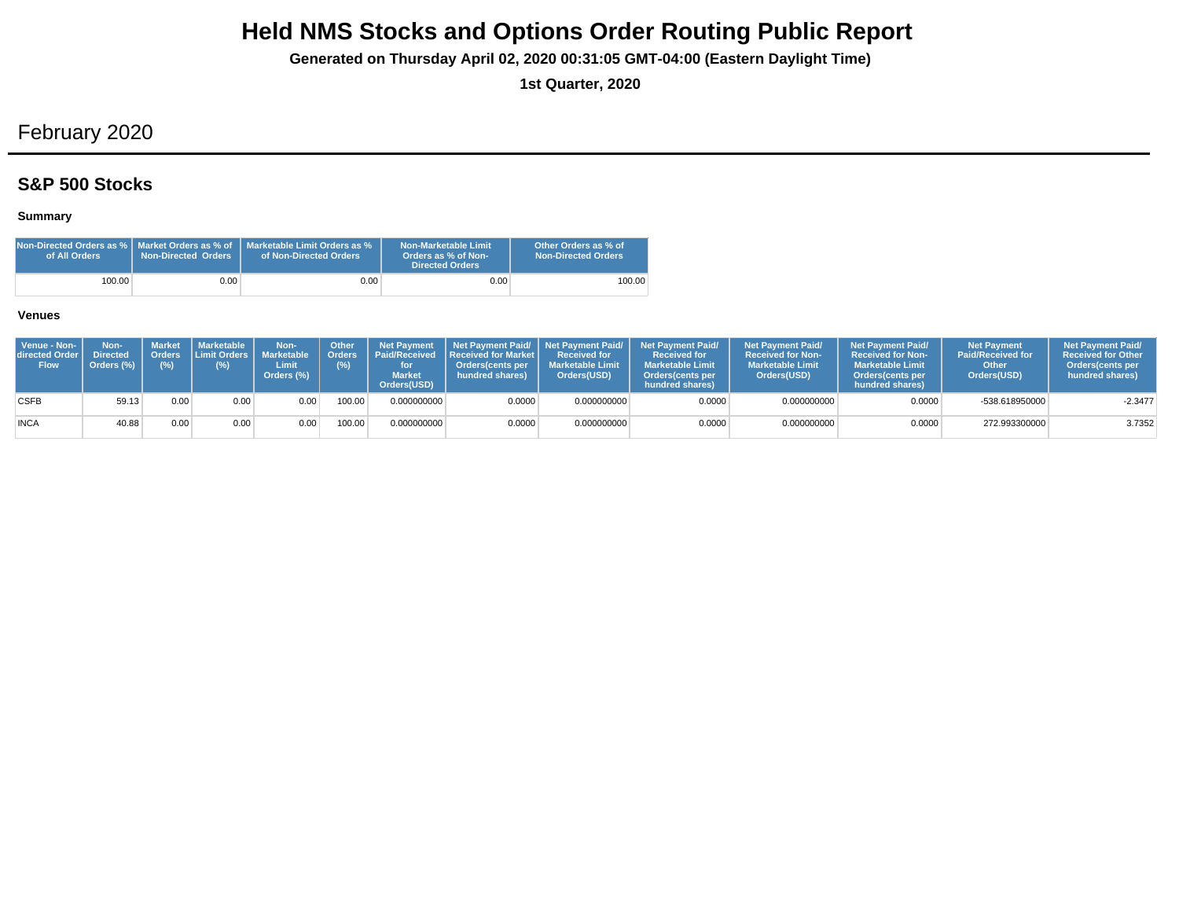**Generated on Thursday April 02, 2020 00:31:05 GMT-04:00 (Eastern Daylight Time)**

**1st Quarter, 2020**

## February 2020

## **S&P 500 Stocks**

### **Summary**

| Non-Directed Orders as %   Market Orders as % of<br>of All Orders | <b>Non-Directed Orders</b> | Marketable Limit Orders as %<br>of Non-Directed Orders | Non-Marketable Limit<br>Orders as % of Non-<br>Directed Orders | Other Orders as % of<br>Non-Directed Orders |
|-------------------------------------------------------------------|----------------------------|--------------------------------------------------------|----------------------------------------------------------------|---------------------------------------------|
| 100.00                                                            | 0.00                       | $0.00 -$                                               | 0.00                                                           | 100.00                                      |

| Venue - Non-<br>directed Order<br><b>Flow</b> | Non-<br><b>Directed</b><br>Orders (%) | <b>Market</b><br>(%) | <b>I</b> Marketable I<br>Orders Limit Orders I<br>(%) | Non-<br><b>Marketable</b><br>Limit<br>Orders (%) | Other<br>(%) | <b>Net Payment</b><br>Orders   Paid/Received<br><b>Market</b><br>Orders(USD) | <b>Received for Market L</b><br>Orders(cents per<br>hundred shares) | Received for<br><b>Marketable Limit</b><br>Orders(USD) | Net Payment Paid/ Net Payment Paid/ Net Payment Paid/<br><b>Received for</b><br><b>Marketable Limit</b><br><b>Orders</b> (cents per<br>hundred shares) | <b>Net Payment Paid/</b><br><b>Received for Non-</b><br><b>Marketable Limit</b><br>Orders(USD) | <b>Net Payment Paid/</b><br><b>Received for Non-</b><br><b>Marketable Limit</b><br><b>Orders</b> (cents per<br>hundred shares) | <b>Net Payment</b><br><b>Paid/Received for</b><br>Other<br>Orders(USD) | <b>Net Payment Paid/</b><br><b>Received for Other</b><br><b>Orders</b> (cents per<br>hundred shares) |
|-----------------------------------------------|---------------------------------------|----------------------|-------------------------------------------------------|--------------------------------------------------|--------------|------------------------------------------------------------------------------|---------------------------------------------------------------------|--------------------------------------------------------|--------------------------------------------------------------------------------------------------------------------------------------------------------|------------------------------------------------------------------------------------------------|--------------------------------------------------------------------------------------------------------------------------------|------------------------------------------------------------------------|------------------------------------------------------------------------------------------------------|
| <b>CSFB</b>                                   | 59.13                                 | 0.00                 | 0.00                                                  | 0.00                                             | 100.00       | 0.000000000                                                                  | 0.0000                                                              | 0.000000000                                            | 0.0000                                                                                                                                                 | 0.000000000                                                                                    | 0.0000                                                                                                                         | -538.618950000                                                         | $-2.3477$                                                                                            |
| <b>INCA</b>                                   | 40.88                                 | 0.00                 | 0.00                                                  | 0.00                                             | 100.00       | 0.000000000                                                                  | 0.0000                                                              | 0.000000000                                            | 0.0000                                                                                                                                                 | 0.000000000                                                                                    | 0.0000                                                                                                                         | 272.993300000                                                          | 3.7352                                                                                               |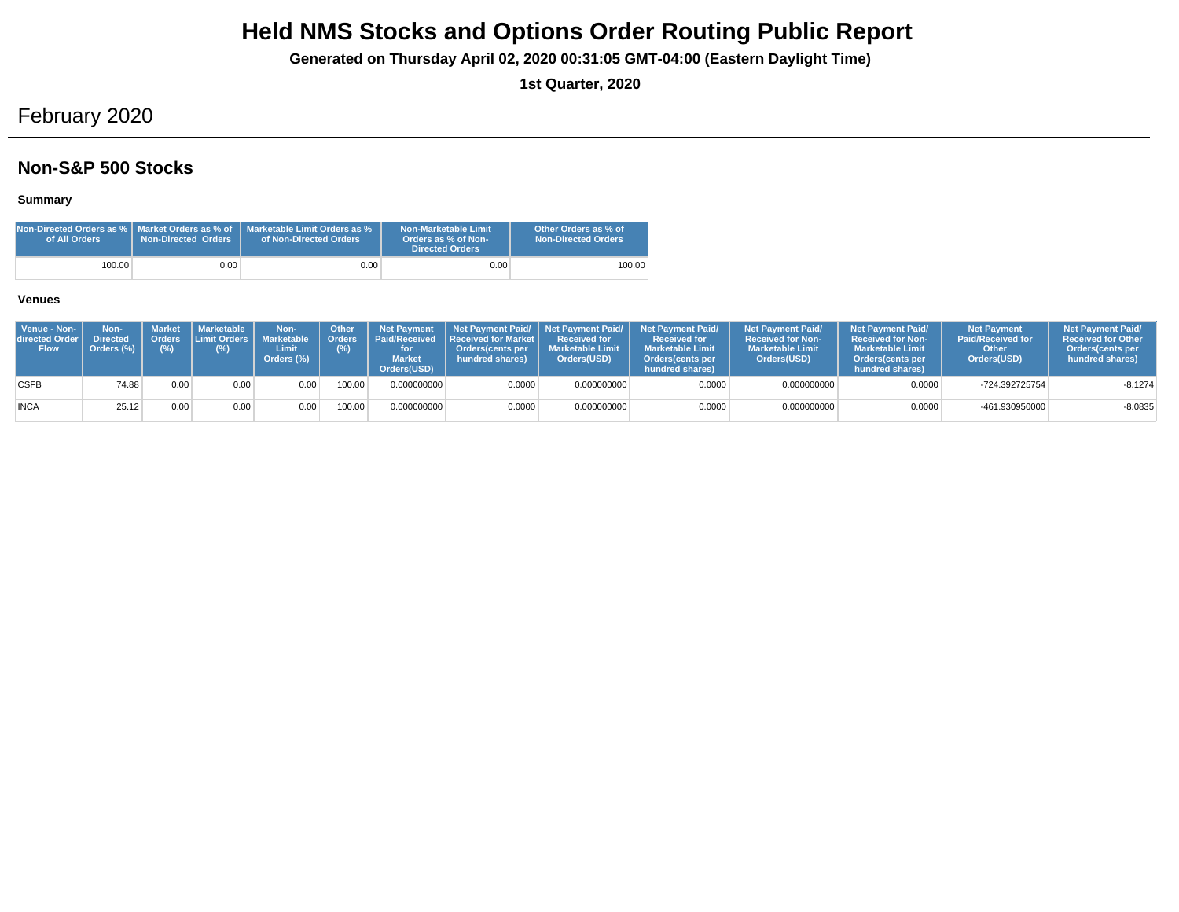**Generated on Thursday April 02, 2020 00:31:05 GMT-04:00 (Eastern Daylight Time)**

**1st Quarter, 2020**

## February 2020

### **Non-S&P 500 Stocks**

### **Summary**

| of All Orders | <b>Non-Directed Orders</b> | <b>Non-Directed Orders as %   Market Orders as % of   Marketable Limit Orders as %</b><br>of Non-Directed Orders | Non-Marketable Limit<br>Orders as % of Non-<br><b>Directed Orders</b> | Other Orders as % of<br><b>Non-Directed Orders</b> |
|---------------|----------------------------|------------------------------------------------------------------------------------------------------------------|-----------------------------------------------------------------------|----------------------------------------------------|
| 100.00        | 0.00                       | $0.00\,$                                                                                                         | 0.00                                                                  | 100.00                                             |

| Venue - Non-<br>directed Order I<br><b>Flow</b> | Non-<br><b>Directed</b><br>Orders (%) | Orders<br>$(\%)$ | Market   Marketable<br><b>ILimit Orders I</b><br>(%) | Non-<br><b>Marketable</b><br>Limit<br>Orders (%) | <b>Other</b><br><b>Orders</b><br>(%) | <b>Net Payment</b><br><b>Market</b><br>Orders(USD) | Paid/Received Received for Market I<br><b>Orders</b> (cents per<br>hundred shares) | <b>Received for</b><br><b>Marketable Limit</b><br>Orders(USD) | Net Payment Paid/ Net Payment Paid/ Net Payment Paid/<br><b>Received for</b><br><b>Marketable Limit</b><br>Orders (cents per<br>hundred shares) | <b>Net Payment Paid/</b><br><b>Received for Non-</b><br><b>Marketable Limit</b><br>Orders(USD) | <b>Net Payment Paid/</b><br><b>Received for Non-</b><br><b>Marketable Limit</b><br><b>Orders</b> (cents per<br>hundred shares) | <b>Net Payment</b><br><b>Paid/Received for</b><br>Other<br>Orders(USD) | <b>Net Payment Paid/</b><br><b>Received for Other</b><br>Orders (cents per<br>hundred shares) |
|-------------------------------------------------|---------------------------------------|------------------|------------------------------------------------------|--------------------------------------------------|--------------------------------------|----------------------------------------------------|------------------------------------------------------------------------------------|---------------------------------------------------------------|-------------------------------------------------------------------------------------------------------------------------------------------------|------------------------------------------------------------------------------------------------|--------------------------------------------------------------------------------------------------------------------------------|------------------------------------------------------------------------|-----------------------------------------------------------------------------------------------|
| <b>CSFB</b>                                     | 74.88                                 | 0.00             | 0.00                                                 | 0.00                                             | 100.00                               | 0.000000000                                        | 0.0000                                                                             | 0.000000000                                                   | 0.0000                                                                                                                                          | 0.000000000                                                                                    | 0.0000                                                                                                                         | -724.392725754                                                         | $-8.1274$                                                                                     |
| <b>INCA</b>                                     | 25.12                                 | 0.00             | 0.00                                                 | 0.00                                             | 100.00                               | 0.000000000                                        | 0.0000                                                                             | 0.000000000                                                   | 0.0000                                                                                                                                          | 0.000000000                                                                                    | 0.0000                                                                                                                         | -461.930950000                                                         | $-8.0835$                                                                                     |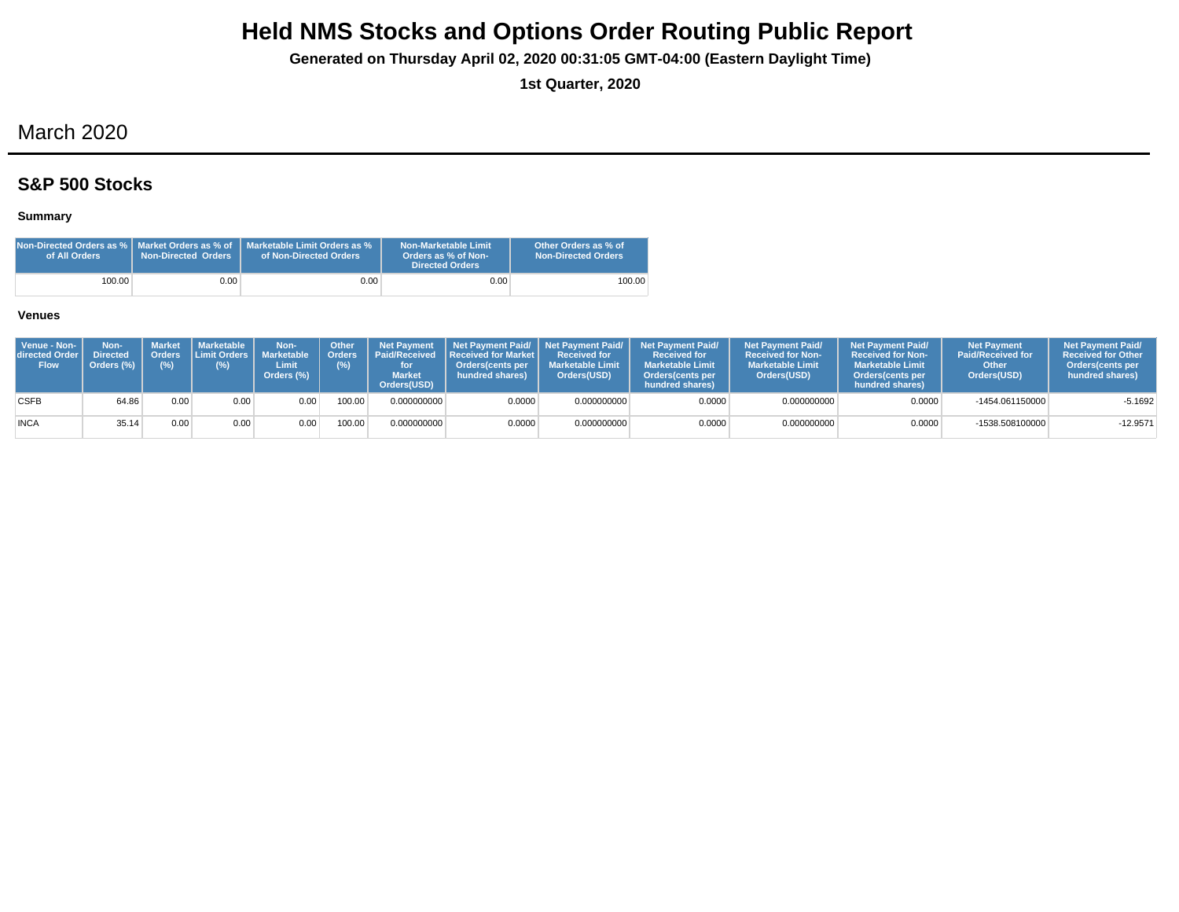**Generated on Thursday April 02, 2020 00:31:05 GMT-04:00 (Eastern Daylight Time)**

**1st Quarter, 2020**

## March 2020

## **S&P 500 Stocks**

### **Summary**

| Non-Directed Orders as %   Market Orders as % of<br>of All Orders | Non-Directed Orders | Marketable Limit Orders as %<br>of Non-Directed Orders | Non-Marketable Limit<br>Orders as % of Non-<br><b>Directed Orders</b> | Other Orders as % of<br><b>Non-Directed Orders</b> |
|-------------------------------------------------------------------|---------------------|--------------------------------------------------------|-----------------------------------------------------------------------|----------------------------------------------------|
| 100.00                                                            | 0.001               | 0.00                                                   | 0.001                                                                 | 100.00                                             |

| Venue - Non-<br>directed Order<br><b>Flow</b> | Non-<br><b>Directed</b><br>Orders (%) | <b>Market</b><br>(%) | <b>I</b> Marketable I<br>Orders Limit Orders I<br>(%) | Non-<br><b>Marketable</b><br>Limit<br>Orders (%) | Other<br>(%) | <b>Net Payment</b><br>Orders   Paid/Received<br><b>Market</b><br>Orders(USD) | <b>Received for Market L</b><br>Orders(cents per<br>hundred shares) | Received for<br><b>Marketable Limit</b><br>Orders(USD) | Net Payment Paid/ Net Payment Paid/ Net Payment Paid/<br><b>Received for</b><br><b>Marketable Limit</b><br><b>Orders</b> (cents per<br>hundred shares) | <b>Net Payment Paid/</b><br><b>Received for Non-</b><br><b>Marketable Limit</b><br>Orders(USD) | <b>Net Payment Paid/</b><br><b>Received for Non-</b><br><b>Marketable Limit</b><br><b>Orders</b> (cents per<br>hundred shares) | <b>Net Payment</b><br><b>Paid/Received for</b><br>Other<br>Orders(USD) | <b>Net Payment Paid/</b><br><b>Received for Other</b><br><b>Orders</b> (cents per<br>hundred shares) |
|-----------------------------------------------|---------------------------------------|----------------------|-------------------------------------------------------|--------------------------------------------------|--------------|------------------------------------------------------------------------------|---------------------------------------------------------------------|--------------------------------------------------------|--------------------------------------------------------------------------------------------------------------------------------------------------------|------------------------------------------------------------------------------------------------|--------------------------------------------------------------------------------------------------------------------------------|------------------------------------------------------------------------|------------------------------------------------------------------------------------------------------|
| <b>CSFB</b>                                   | 64.86                                 | 0.00                 | 0.00                                                  | 0.00                                             | 100.00       | 0.000000000                                                                  | 0.0000                                                              | 0.000000000                                            | 0.0000                                                                                                                                                 | 0.000000000                                                                                    | 0.0000                                                                                                                         | -1454.061150000                                                        | $-5.1692$                                                                                            |
| <b>INCA</b>                                   | 35.14                                 | 0.00                 | 0.00                                                  | 0.00                                             | 100.00       | 0.000000000                                                                  | 0.0000                                                              | 0.000000000                                            | 0.0000                                                                                                                                                 | 0.000000000                                                                                    | 0.0000                                                                                                                         | -1538.508100000                                                        | $-12.9571$                                                                                           |